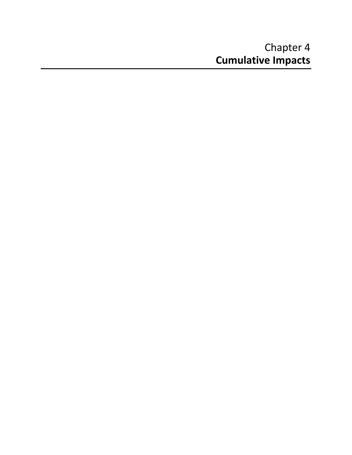# Chapter 4 **Cumulative Impacts**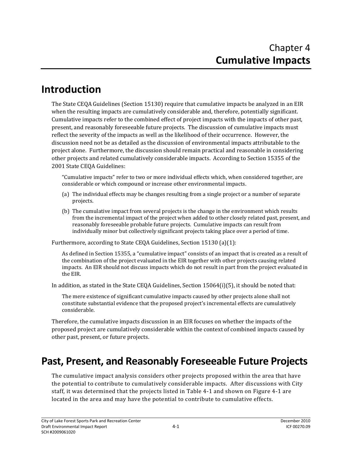# **Introduction**

The State CEQA Guidelines (Section 15130) require that cumulative impacts be analyzed in an EIR when the resulting impacts are cumulatively considerable and, therefore, potentially significant. Cumulative impacts refer to the combined effect of project impacts with the impacts of other past, present, and reasonably foreseeable future projects. The discussion of cumulative impacts must reflect the severity of the impacts as well as the likelihood of their occurrence. However, the discussion need not be as detailed as the discussion of environmental impacts attributable to the project alone. Furthermore, the discussion should remain practical and reasonable in considering other projects and related cumulatively considerable impacts. According to Section 15355 of the 2001 State CEQA Guidelines:

"Cumulative impacts" refer to two or more individual effects which, when considered together, are considerable or which compound or increase other environmental impacts.

- (a) The individual effects may be changes resulting from a single project or a number of separate projects.
- (b) The cumulative impact from several projects is the change in the environment which results from the incremental impact of the project when added to other closely related past, present, and reasonably foreseeable probable future projects. Cumulative impacts can result from individually minor but collectively significant projects taking place over a period of time.

Furthermore, according to State CEQA Guidelines, Section 15130 (a)(1):

As defined in Section 15355, a "cumulative impact" consists of an impact that is created as a result of the combination of the project evaluated in the EIR together with other projects causing related impacts. An EIR should not discuss impacts which do not result in part from the project evaluated in the EIR.

In addition, as stated in the State CEQA Guidelines, Section 15064(i)(5), it should be noted that:

The mere existence of significant cumulative impacts caused by other projects alone shall not constitute substantial evidence that the proposed project's incremental effects are cumulatively considerable.

Therefore, the cumulative impacts discussion in an EIR focuses on whether the impacts of the proposed project are cumulatively considerable within the context of combined impacts caused by other past, present, or future projects.

# **Past, Present, and Reasonably Foreseeable Future Projects**

The cumulative impact analysis considers other projects proposed within the area that have the potential to contribute to cumulatively considerable impacts. After discussions with City staff, it was determined that the projects listed in Table 4‐1 and shown on Figure 4‐1 are located in the area and may have the potential to contribute to cumulative effects.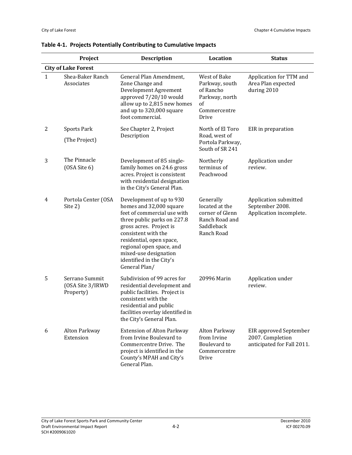|                            | Project                                         | <b>Description</b>                                                                                                                                                                                                                                                                                | Location                                                                                                | <b>Status</b>                                                                   |  |
|----------------------------|-------------------------------------------------|---------------------------------------------------------------------------------------------------------------------------------------------------------------------------------------------------------------------------------------------------------------------------------------------------|---------------------------------------------------------------------------------------------------------|---------------------------------------------------------------------------------|--|
| <b>City of Lake Forest</b> |                                                 |                                                                                                                                                                                                                                                                                                   |                                                                                                         |                                                                                 |  |
| $\mathbf{1}$               | Shea-Baker Ranch<br>Associates                  | General Plan Amendment,<br>Zone Change and<br>Development Agreement<br>approved 7/20/10 would<br>allow up to 2,815 new homes<br>and up to 320,000 square<br>foot commercial.                                                                                                                      | West of Bake<br>Parkway, south<br>of Rancho<br>Parkway, north<br><sub>of</sub><br>Commercentre<br>Drive | Application for TTM and<br>Area Plan expected<br>during 2010                    |  |
| $\overline{c}$             | <b>Sports Park</b>                              | See Chapter 2, Project                                                                                                                                                                                                                                                                            | North of El Toro                                                                                        | EIR in preparation                                                              |  |
|                            | (The Project)                                   | Description                                                                                                                                                                                                                                                                                       | Road, west of<br>Portola Parkway,<br>South of SR 241                                                    |                                                                                 |  |
| 3                          | The Pinnacle<br>(OSA Site 6)                    | Development of 85 single-<br>family homes on 24.6 gross<br>acres. Project is consistent<br>with residential designation<br>in the City's General Plan.                                                                                                                                            | Northerly<br>terminus of<br>Peachwood                                                                   | Application under<br>review.                                                    |  |
| 4                          | Portola Center (OSA<br>Site 2)                  | Development of up to 930<br>homes and 32,000 square<br>feet of commercial use with<br>three public parks on 227.8<br>gross acres. Project is<br>consistent with the<br>residential, open space,<br>regional open space, and<br>mixed-use designation<br>identified in the City's<br>General Plan/ | Generally<br>located at the<br>corner of Glenn<br>Ranch Road and<br>Saddleback<br>Ranch Road            | Application submitted<br>September 2008.<br>Application incomplete.             |  |
| 5                          | Serrano Summit<br>(OSA Site 3/IRWD<br>Property) | Subdivision of 99 acres for<br>residential development and<br>public facilities. Project is<br>consistent with the<br>residential and public<br>facilities overlay identified in<br>the City's General Plan.                                                                                      | 20996 Marin                                                                                             | Application under<br>review.                                                    |  |
| 6                          | Alton Parkway<br>Extension                      | <b>Extension of Alton Parkway</b><br>from Irvine Boulevard to<br>Commercentre Drive. The<br>project is identified in the<br>County's MPAH and City's<br>General Plan.                                                                                                                             | Alton Parkway<br>from Irvine<br><b>Boulevard</b> to<br>Commercentre<br>Drive                            | <b>EIR</b> approved September<br>2007. Completion<br>anticipated for Fall 2011. |  |

#### **Table 4‐1. Projects Potentially Contributing to Cumulative Impacts**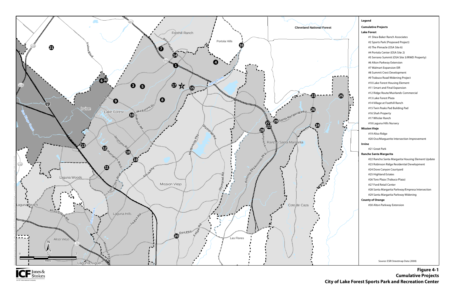



**Figure 4-1 Cumulative Projects City of Lake Forest Sports Park and Recreation Center**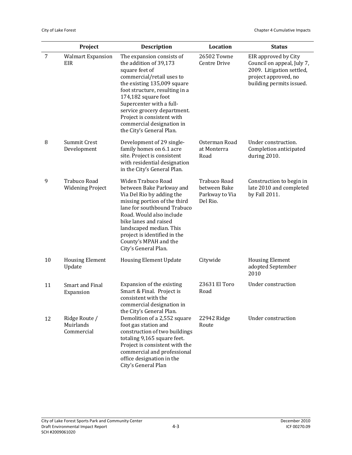|    | Project                                        | <b>Description</b>                                                                                                                                                                                                                                                                                                                           | Location                                                   | <b>Status</b>                                                                                                                       |
|----|------------------------------------------------|----------------------------------------------------------------------------------------------------------------------------------------------------------------------------------------------------------------------------------------------------------------------------------------------------------------------------------------------|------------------------------------------------------------|-------------------------------------------------------------------------------------------------------------------------------------|
| 7  | <b>Walmart Expansion</b><br>EIR                | The expansion consists of<br>the addition of 39,173<br>square feet of<br>commercial/retail uses to<br>the existing 135,009 square<br>foot structure, resulting in a<br>174,182 square foot<br>Supercenter with a full-<br>service grocery department.<br>Project is consistent with<br>commercial designation in<br>the City's General Plan. | 26502 Towne<br>Centre Drive                                | EIR approved by City<br>Council on appeal, July 7,<br>2009. Litigation settled,<br>project approved, no<br>building permits issued. |
| 8  | Summit Crest<br>Development                    | Development of 29 single-<br>family homes on 6.1 acre<br>site. Project is consistent<br>with residential designation<br>in the City's General Plan.                                                                                                                                                                                          | Osterman Road<br>at Monterra<br>Road                       | Under construction.<br>Completion anticipated<br>during 2010.                                                                       |
| 9  | <b>Trabuco Road</b><br><b>Widening Project</b> | Widen Trabuco Road<br>between Bake Parkway and<br>Via Del Rio by adding the<br>missing portion of the third<br>lane for southbound Trabuco<br>Road. Would also include<br>bike lanes and raised<br>landscaped median. This<br>project is identified in the<br>County's MPAH and the<br>City's General Plan.                                  | Trabuco Road<br>between Bake<br>Parkway to Via<br>Del Rio. | Construction to begin in<br>late 2010 and completed<br>by Fall 2011.                                                                |
| 10 | <b>Housing Element</b><br>Update               | <b>Housing Element Update</b>                                                                                                                                                                                                                                                                                                                | Citywide                                                   | <b>Housing Element</b><br>adopted September<br>2010                                                                                 |
| 11 | <b>Smart and Final</b><br>Expansion            | Expansion of the existing<br>Smart & Final. Project is<br>consistent with the<br>commercial designation in<br>the City's General Plan.                                                                                                                                                                                                       | 23631 El Toro<br>Road                                      | Under construction                                                                                                                  |
| 12 | Ridge Route /<br>Muirlands<br>Commercial       | Demolition of a 2,552 square<br>foot gas station and<br>construction of two buildings<br>totaling 9,165 square feet.<br>Project is consistent with the<br>commercial and professional<br>office designation in the<br>City's General Plan                                                                                                    | 22942 Ridge<br>Route                                       | Under construction                                                                                                                  |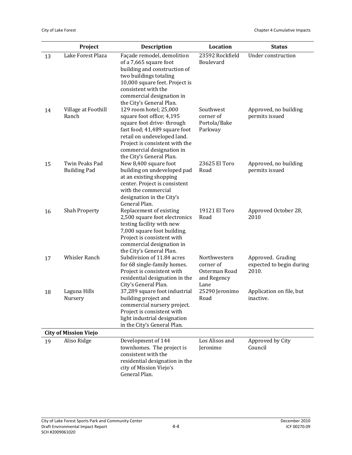|          | Project                                  | <b>Description</b>                                                                                                                                                                                                                                         | Location                                                          | <b>Status</b>                                          |
|----------|------------------------------------------|------------------------------------------------------------------------------------------------------------------------------------------------------------------------------------------------------------------------------------------------------------|-------------------------------------------------------------------|--------------------------------------------------------|
| 13<br>14 | Lake Forest Plaza<br>Village at Foothill | Façade remodel, demolition<br>of a 7,665 square foot<br>building and construction of<br>two buildings totaling<br>10,000 square feet. Project is<br>consistent with the<br>commercial designation in<br>the City's General Plan.<br>129 room hotel; 25,000 | 23592 Rockfield<br>Boulevard<br>Southwest                         | Under construction<br>Approved, no building            |
|          | Ranch                                    | square foot office; 4,195<br>square foot drive-through<br>fast food; 41,489 square foot<br>retail on undeveloped land.<br>Project is consistent with the<br>commercial designation in<br>the City's General Plan.                                          | corner of<br>Portola/Bake<br>Parkway                              | permits issued                                         |
| 15       | Twin Peaks Pad<br><b>Building Pad</b>    | New 8,400 square foot<br>building on undeveloped pad<br>at an existing shopping<br>center. Project is consistent<br>with the commercial<br>designation in the City's<br>General Plan.                                                                      | 23625 El Toro<br>Road                                             | Approved, no building<br>permits issued                |
| 16       | <b>Shah Property</b>                     | Replacement of existing<br>2,500 square foot electronics<br>testing facility with new<br>7,000 square foot building.<br>Project is consistent with<br>commercial designation in<br>the City's General Plan.                                                | 19121 El Toro<br>Road                                             | Approved October 28,<br>2010                           |
| 17       | Whisler Ranch                            | Subdivision of 11.84 acres<br>for 68 single-family homes.<br>Project is consistent with<br>residential designation in the<br>City's General Plan.                                                                                                          | Northwestern<br>corner of<br>Osterman Road<br>and Regency<br>Lane | Approved. Grading<br>expected to begin during<br>2010. |
| 18       | Laguna Hills<br>Nursery                  | 37,289 square foot industrial<br>building project and<br>commercial nursery project.<br>Project is consistent with<br>light industrial designation<br>in the City's General Plan.                                                                          | 25290 Jeronimo<br>Road                                            | Application on file, but<br>inactive.                  |
|          | <b>City of Mission Viejo</b>             |                                                                                                                                                                                                                                                            |                                                                   |                                                        |
| 19       | Aliso Ridge                              | Development of 144<br>townhomes. The project is<br>consistent with the<br>residential designation in the<br>city of Mission Viejo's<br>General Plan.                                                                                                       | Los Alisos and<br>Jeronimo                                        | Approved by City<br>Council                            |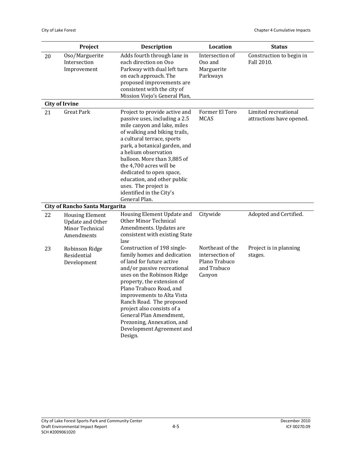|    | Project                                                                            | <b>Description</b>                                                                                                                                                                                                                                                                                                                                                                                              | Location                                                                      | <b>Status</b>                                    |
|----|------------------------------------------------------------------------------------|-----------------------------------------------------------------------------------------------------------------------------------------------------------------------------------------------------------------------------------------------------------------------------------------------------------------------------------------------------------------------------------------------------------------|-------------------------------------------------------------------------------|--------------------------------------------------|
| 20 | Oso/Marguerite<br>Intersection<br>Improvement                                      | Adds fourth through lane in<br>each direction on Oso<br>Parkway with dual left turn<br>on each approach. The<br>proposed improvements are<br>consistent with the city of<br>Mission Viejo's General Plan,                                                                                                                                                                                                       | Intersection of<br>Oso and<br>Marguerite<br>Parkways                          | Construction to begin in<br>Fall 2010.           |
|    | <b>City of Irvine</b>                                                              |                                                                                                                                                                                                                                                                                                                                                                                                                 |                                                                               |                                                  |
| 21 | <b>Great Park</b>                                                                  | Project to provide active and<br>passive uses, including a 2.5<br>mile canyon and lake, miles<br>of walking and biking trails,<br>a cultural terrace, sports<br>park, a botanical garden, and<br>a helium observation<br>balloon. More than 3,885 of<br>the 4,700 acres will be<br>dedicated to open space,<br>education, and other public<br>uses. The project is<br>identified in the City's<br>General Plan. | Former El Toro<br><b>MCAS</b>                                                 | Limited recreational<br>attractions have opened. |
|    | <b>City of Rancho Santa Margarita</b>                                              |                                                                                                                                                                                                                                                                                                                                                                                                                 |                                                                               |                                                  |
| 22 | <b>Housing Element</b><br><b>Update and Other</b><br>Minor Technical<br>Amendments | Housing Element Update and<br><b>Other Minor Technical</b><br>Amendments. Updates are<br>consistent with existing State<br>law                                                                                                                                                                                                                                                                                  | Citywide                                                                      | Adopted and Certified.                           |
| 23 | Robinson Ridge<br>Residential<br>Development                                       | Construction of 198 single-<br>family homes and dedication<br>of land for future active<br>and/or passive recreational<br>uses on the Robinson Ridge<br>property, the extension of<br>Plano Trabuco Road, and<br>improvements to Alta Vista<br>Ranch Road. The proposed<br>project also consists of a<br>General Plan Amendment,<br>Prezoning, Annexation, and<br>Development Agreement and<br>Design.          | Northeast of the<br>intersection of<br>Plano Trabuco<br>and Trabuco<br>Canyon | Project is in planning<br>stages.                |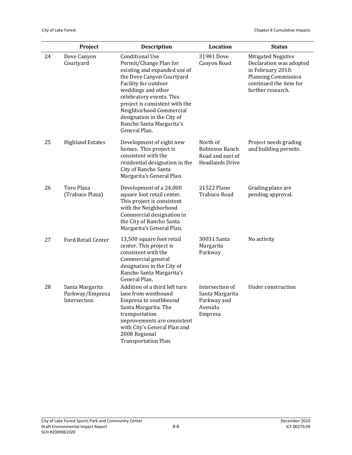|    | Project                                            | <b>Description</b>                                                                                                                                                                                                                                                                                                              | Location                                                                 | <b>Status</b>                                                                                                                                   |
|----|----------------------------------------------------|---------------------------------------------------------------------------------------------------------------------------------------------------------------------------------------------------------------------------------------------------------------------------------------------------------------------------------|--------------------------------------------------------------------------|-------------------------------------------------------------------------------------------------------------------------------------------------|
| 24 | Dove Canyon<br>Courtyard                           | <b>Conditional Use</b><br>Permit/Change Plan for<br>existing and expanded use of<br>the Dove Canyon Courtyard<br>Facility for outdoor<br>weddings and other<br>celebratory events. This<br>project is consistent with the<br>Neighborhood Commercial<br>designation in the City of<br>Rancho Santa Margarita's<br>General Plan. | 31981 Dove<br>Canyon Road                                                | Mitigated Negative<br>Declaration was adopted<br>in February 2010.<br><b>Planning Commission</b><br>continued the item for<br>further research. |
| 25 | <b>Highland Estates</b>                            | Development of eight new<br>homes. This project is<br>consistent with the<br>residential designation in the<br>City of Rancho Santa<br>Margarita's General Plan.                                                                                                                                                                | North of<br>Robinson Ranch<br>Road and east of<br><b>Headlands Drive</b> | Project needs grading<br>and building permits.                                                                                                  |
| 26 | <b>Toro Plaza</b><br>(Trabuco Plaza)               | Development of a 24,000<br>square foot retail center.<br>This project is consistent<br>with the Neighborhood<br>Commercial designation in<br>the City of Rancho Santa<br>Margarita's General Plan.                                                                                                                              | 21522 Plano<br>Trabuco Road                                              | Grading plans are<br>pending approval.                                                                                                          |
| 27 | Ford Retail Center                                 | 13,500 square foot retail<br>center. This project is<br>consistent with the<br>Commercial general<br>designation in the City of<br>Rancho Santa Margarita's<br>General Plan.                                                                                                                                                    | 30031 Santa<br>Margarita<br>Parkway                                      | No activity                                                                                                                                     |
| 28 | Santa Margarita<br>Parkway/Empresa<br>Intersection | Addition of a third left turn<br>lane from westbound<br>Empresa to southbound<br>Santa Margarita. The<br>transportation<br>improvements are consistent<br>with City's General Plan and<br>2008 Regional<br>Transportation Plan.                                                                                                 | Intersection of<br>Santa Margarita<br>Parkway and<br>Avenida<br>Empresa  | <b>Under construction</b>                                                                                                                       |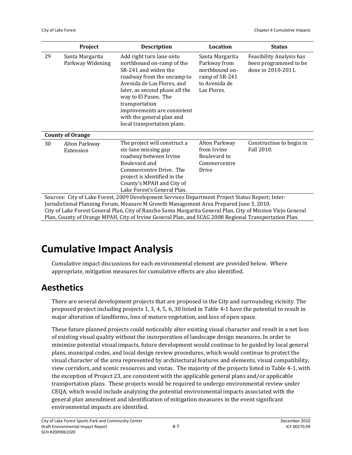|                                                                                                  | Project                                                                                                      | <b>Description</b>                                                                                                                                                                                                                                                                                               | Location                                                                                            | <b>Status</b>                                                           |  |
|--------------------------------------------------------------------------------------------------|--------------------------------------------------------------------------------------------------------------|------------------------------------------------------------------------------------------------------------------------------------------------------------------------------------------------------------------------------------------------------------------------------------------------------------------|-----------------------------------------------------------------------------------------------------|-------------------------------------------------------------------------|--|
| 29                                                                                               | Santa Margarita<br>Parkway Widening                                                                          | Add right turn lane onto<br>northbound on-ramp of the<br>SR-241 and widen the<br>roadway from the onramp to<br>Avenida de Las Flores, and<br>later, as second phase all the<br>way to El Paseo. The<br>transportation<br>improvements are consistent<br>with the general plan and<br>local transportation plans. | Santa Margarita<br>Parkway from<br>northbound on-<br>ramp of SR-241<br>to Avenida de<br>Las Flores. | Feasibility Analysis has<br>been programmed to be<br>done in 2010-2011. |  |
|                                                                                                  | <b>County of Orange</b>                                                                                      |                                                                                                                                                                                                                                                                                                                  |                                                                                                     |                                                                         |  |
| 30                                                                                               | Alton Parkway<br>Extension                                                                                   | The project will construct a<br>six-lane missing gap<br>roadway between Irvine<br>Boulevard and<br>Commercentre Drive. The<br>project is identified in the<br>County's MPAH and City of<br>Lake Forest's General Plan.                                                                                           | Alton Parkway<br>from Irvine<br>Boulevard to<br>Commercentre<br>Drive                               | Construction to begin in<br>Fall 2010.                                  |  |
| Sources: City of Lake Forest, 2009 Development Services Department Project Status Report; Inter- |                                                                                                              |                                                                                                                                                                                                                                                                                                                  |                                                                                                     |                                                                         |  |
| Jurisdictional Planning Forum, Measure M Growth Management Area Prepared June 3, 2010.           |                                                                                                              |                                                                                                                                                                                                                                                                                                                  |                                                                                                     |                                                                         |  |
|                                                                                                  | City of Lake Forest General Plan, City of Rancho Santa Margarita General Plan, City of Mission Viejo General |                                                                                                                                                                                                                                                                                                                  |                                                                                                     |                                                                         |  |
|                                                                                                  | Plan, County of Orange MPAH, City of Irvine General Plan, and SCAG 2008 Regional Transportation Plan.        |                                                                                                                                                                                                                                                                                                                  |                                                                                                     |                                                                         |  |

# **Cumulative Impact Analysis**

Cumulative impact discussions for each environmental element are provided below. Where appropriate, mitigation measures for cumulative effects are also identified.

### **Aesthetics**

There are several development projects that are proposed in the City and surrounding vicinity. The proposed project including projects 1, 3, 4, 5, 6, 30 listed in Table 4‐1 have the potential to result in major alteration of landforms, loss of mature vegetation, and loss of open space.

These future planned projects could noticeably alter existing visual character and result in a net loss of existing visual quality without the incorporation of landscape design measures. In order to minimize potential visual impacts, future development would continue to be guided by local general plans, municipal codes, and local design review procedures, which would continue to protect the visual character of the area represented by architectural features and elements, visual compatibility, view corridors, and scenic resources and vistas. The majority of the projects listed in Table 4‐1, with the exception of Project 23, are consistent with the applicable general plans and/or applicable transportation plans. These projects would be required to undergo environmental review under CEQA, which would include analyzing the potential environmental impacts associated with the general plan amendment and identification of mitigation measures in the event significant environmental impacts are identified.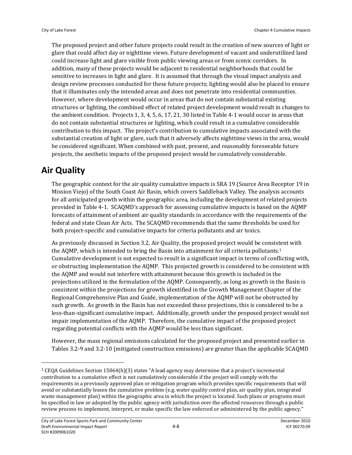The proposed project and other future projects could result in the creation of new sources of light or glare that could affect day or nighttime views. Future development of vacant and underutilized land could increase light and glare visible from public viewing areas or from scenic corridors. In addition, many of these projects would be adjacent to residential neighborhoods that could be sensitive to increases in light and glare. It is assumed that through the visual impact analysis and design review processes conducted for these future projects; lighting would also be placed to ensure that it illuminates only the intended areas and does not penetrate into residential communities. However, where development would occur in areas that do not contain substantial existing structures or lighting, the combined effect of related project development would result in changes to the ambient condition. Projects 1, 3, 4, 5, 6, 17, 21, 30 listed in Table 4‐1 would occur in areas that do not contain substantial structures or lighting, which could result in a cumulative considerable contribution to this impact. The project's contribution to cumulative impacts associated with the substantial creation of light or glare, such that it adversely affects nighttime views in the area, would be considered significant. When combined with past, present, and reasonably foreseeable future projects, the aesthetic impacts of the proposed project would be cumulatively considerable.

## **Air Quality**

The geographic context for the air quality cumulative impacts is SRA 19 (Source Area Receptor 19 in Mission Viejo) of the South Coast Air Basin, which covers Saddleback Valley. The analysis accounts for all anticipated growth within the geographic area, including the development of related projects provided in Table 4‐1. SCAQMD's approach for assessing cumulative impacts is based on the AQMP forecasts of attainment of ambient air quality standards in accordance with the requirements of the federal and state Clean Air Acts. The SCAQMD recommends that the same thresholds be used for both project‐specific and cumulative impacts for criteria pollutants and air toxics.

As previously discussed in Section 3.2, Air Quality, the proposed project would be consistent with the AQMP, which is intended to bring the Basin into attainment for all criteria pollutants.<sup>1</sup> Cumulative development is not expected to result in a significant impact in terms of conflicting with, or obstructing implementation the AQMP. This projected growth is considered to be consistent with the AQMP and would not interfere with attainment because this growth is included in the projections utilized in the formulation of the AQMP. Consequently, as long as growth in the Basin is consistent within the projections for growth identified in the Growth Management Chapter of the Regional Comprehensive Plan and Guide, implementation of the AQMP will not be obstructed by such growth. As growth in the Basin has not exceeded these projections, this is considered to be a less-than-significant cumulative impact. Additionally, growth under the proposed project would not impair implementation of the AQMP. Therefore, the cumulative impact of the proposed project regarding potential conflicts with the AQMP would be less than significant.

However, the mass regional emissions calculated for the proposed project and presented earlier in Tables 3.2‐9 and 3.2‐10 (mitigated construction emissions) are greater than the applicable SCAQMD

<sup>1</sup> CEQA Guidelines Section 15064(h)(3) states "A lead agency may determine that a project's incremental contribution to a cumulative effect is not cumulatively considerable if the project will comply with the requirements in a previously approved plan or mitigation program which provides specific requirements that will avoid or substantially lessen the cumulative problem (e.g. water quality control plan, air quality plan, integrated waste management plan) within the geographic area in which the project is located. Such plans or programs must be specified in law or adopted by the public agency with jurisdiction over the affected resources through a public review process to implement, interpret, or make specific the law enforced or administered by the public agency."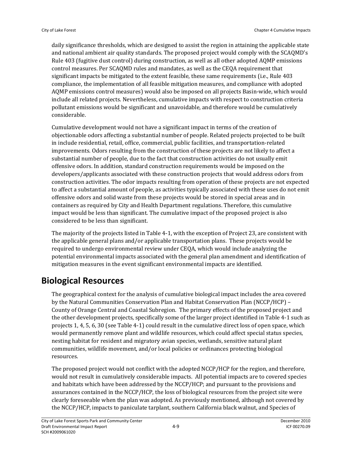daily significance thresholds, which are designed to assist the region in attaining the applicable state and national ambient air quality standards. The proposed project would comply with the SCAQMD's Rule 403 (fugitive dust control) during construction, as well as all other adopted AQMP emissions control measures. Per SCAQMD rules and mandates, as well as the CEQA requirement that significant impacts be mitigated to the extent feasible, these same requirements (i.e., Rule 403 compliance, the implementation of all feasible mitigation measures, and compliance with adopted AQMP emissions control measures) would also be imposed on all projects Basin‐wide, which would include all related projects. Nevertheless, cumulative impacts with respect to construction criteria pollutant emissions would be significant and unavoidable, and therefore would be cumulatively considerable.

Cumulative development would not have a significant impact in terms of the creation of objectionable odors affecting a substantial number of people. Related projects projected to be built in include residential, retail, office, commercial, public facilities, and transportation‐related improvements. Odors resulting from the construction of these projects are not likely to affect a substantial number of people, due to the fact that construction activities do not usually emit offensive odors. In addition, standard construction requirements would be imposed on the developers/applicants associated with these construction projects that would address odors from construction activities. The odor impacts resulting from operation of these projects are not expected to affect a substantial amount of people, as activities typically associated with these uses do not emit offensive odors and solid waste from these projects would be stored in special areas and in containers as required by City and Health Department regulations. Therefore, this cumulative impact would be less than significant. The cumulative impact of the proposed project is also considered to be less than significant.

The majority of the projects listed in Table 4‐1, with the exception of Project 23, are consistent with the applicable general plans and/or applicable transportation plans. These projects would be required to undergo environmental review under CEQA, which would include analyzing the potential environmental impacts associated with the general plan amendment and identification of mitigation measures in the event significant environmental impacts are identified.

# **Biological Resources**

The geographical context for the analysis of cumulative biological impact includes the area covered by the Natural Communities Conservation Plan and Habitat Conservation Plan (NCCP/HCP) – County of Orange Central and Coastal Subregion. The primary effects of the proposed project and the other development projects, specifically some of the larger project identified in Table 4‐1 such as projects 1, 4, 5, 6, 30 (see Table 4‐1) could result in the cumulative direct loss of open space, which would permanently remove plant and wildlife resources, which could affect special status species, nesting habitat for resident and migratory avian species, wetlands, sensitive natural plant communities, wildlife movement, and/or local policies or ordinances protecting biological resources.

The proposed project would not conflict with the adopted NCCP/HCP for the region, and therefore, would not result in cumulatively considerable impacts. All potential impacts are to covered species and habitats which have been addressed by the NCCP/HCP; and pursuant to the provisions and assurances contained in the NCCP/HCP, the loss of biological resources from the project site were clearly foreseeable when the plan was adopted. As previously mentioned, although not covered by the NCCP/HCP, impacts to paniculate tarplant, southern California black walnut, and Species of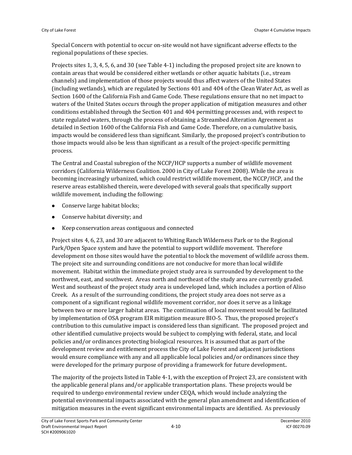Special Concern with potential to occur on‐site would not have significant adverse effects to the regional populations of these species.

Projects sites 1, 3, 4, 5, 6, and 30 (see Table 4‐1) including the proposed project site are known to contain areas that would be considered either wetlands or other aquatic habitats (i.e., stream channels) and implementation of those projects would thus affect waters of the United States (including wetlands), which are regulated by Sections 401 and 404 of the Clean Water Act, as well as Section 1600 of the California Fish and Game Code. These regulations ensure that no net impact to waters of the United States occurs through the proper application of mitigation measures and other conditions established through the Section 401 and 404 permitting processes and, with respect to state regulated waters, through the process of obtaining a Streambed Alteration Agreement as detailed in Section 1600 of the California Fish and Game Code. Therefore, on a cumulative basis, impacts would be considered less than significant. Similarly, the proposed project's contribution to those impacts would also be less than significant as a result of the project‐specific permitting process.

The Central and Coastal subregion of the NCCP/HCP supports a number of wildlife movement corridors (California Wilderness Coalition. 2000 in City of Lake Forest 2008). While the area is becoming increasingly urbanized, which could restrict wildlife movement, the NCCP/HCP, and the reserve areas established therein, were developed with several goals that specifically support wildlife movement, including the following:

- Conserve large habitat blocks;
- Conserve habitat diversity; and
- Keep conservation areas contiguous and connected

Project sites 4, 6, 23, and 30 are adjacent to Whiting Ranch Wilderness Park or to the Regional Park/Open Space system and have the potential to support wildlife movement. Therefore development on those sites would have the potential to block the movement of wildlife across them. The project site and surrounding conditions are not conducive for more than local wildlife movement. Habitat within the immediate project study area is surrounded by development to the northwest, east, and southwest. Areas north and northeast of the study area are currently graded. West and southeast of the project study area is undeveloped land, which includes a portion of Aliso Creek. As a result of the surrounding conditions, the project study area does not serve as a component of a significant regional wildlife movement corridor, nor does it serve as a linkage between two or more larger habitat areas. The continuation of local movement would be facilitated by implementation of OSA program EIR mitigation measure BIO‐5. Thus, the proposed project's contribution to this cumulative impact is considered less than significant. The proposed project and other identified cumulative projects would be subject to complying with federal, state, and local policies and/or ordinances protecting biological resources. It is assumed that as part of the development review and entitlement process the City of Lake Forest and adjacent jurisdictions would ensure compliance with any and all applicable local policies and/or ordinances since they were developed for the primary purpose of providing a framework for future development..

The majority of the projects listed in Table 4‐1, with the exception of Project 23, are consistent with the applicable general plans and/or applicable transportation plans. These projects would be required to undergo environmental review under CEQA, which would include analyzing the potential environmental impacts associated with the general plan amendment and identification of mitigation measures in the event significant environmental impacts are identified. As previously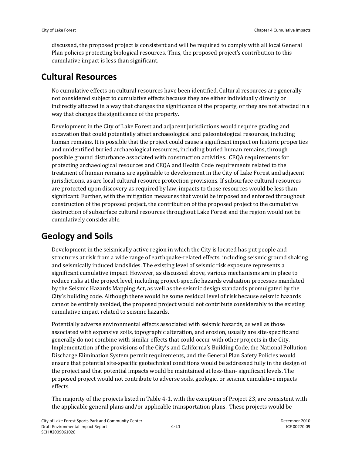discussed, the proposed project is consistent and will be required to comply with all local General Plan policies protecting biological resources. Thus, the proposed project's contribution to this cumulative impact is less than significant.

#### **Cultural Resources**

No cumulative effects on cultural resources have been identified. Cultural resources are generally not considered subject to cumulative effects because they are either individually directly or indirectly affected in a way that changes the significance of the property, or they are not affected in a way that changes the significance of the property.

Development in the City of Lake Forest and adjacent jurisdictions would require grading and excavation that could potentially affect archaeological and paleontological resources, including human remains. It is possible that the project could cause a significant impact on historic properties and unidentified buried archaeological resources, including buried human remains, through possible ground disturbance associated with construction activities. CEQA requirements for protecting archaeological resources and CEQA and Health Code requirements related to the treatment of human remains are applicable to development in the City of Lake Forest and adjacent jurisdictions, as are local cultural resource protection provisions. If subsurface cultural resources are protected upon discovery as required by law, impacts to those resources would be less than significant. Further, with the mitigation measures that would be imposed and enforced throughout construction of the proposed project, the contribution of the proposed project to the cumulative destruction of subsurface cultural resources throughout Lake Forest and the region would not be cumulatively considerable.

## **Geology and Soils**

Development in the seismically active region in which the City is located has put people and structures at risk from a wide range of earthquake‐related effects, including seismic ground shaking and seismically induced landslides. The existing level of seismic risk exposure represents a significant cumulative impact. However, as discussed above, various mechanisms are in place to reduce risks at the project level, including project‐specific hazards evaluation processes mandated by the Seismic Hazards Mapping Act, as well as the seismic design standards promulgated by the City's building code. Although there would be some residual level of risk because seismic hazards cannot be entirely avoided, the proposed project would not contribute considerably to the existing cumulative impact related to seismic hazards.

Potentially adverse environmental effects associated with seismic hazards, as well as those associated with expansive soils, topographic alteration, and erosion, usually are site‐specific and generally do not combine with similar effects that could occur with other projects in the City. Implementation of the provisions of the City's and California's Building Code, the National Pollution Discharge Elimination System permit requirements, and the General Plan Safety Policies would ensure that potential site‐specific geotechnical conditions would be addressed fully in the design of the project and that potential impacts would be maintained at less‐than‐ significant levels. The proposed project would not contribute to adverse soils, geologic, or seismic cumulative impacts effects.

The majority of the projects listed in Table 4‐1, with the exception of Project 23, are consistent with the applicable general plans and/or applicable transportation plans. These projects would be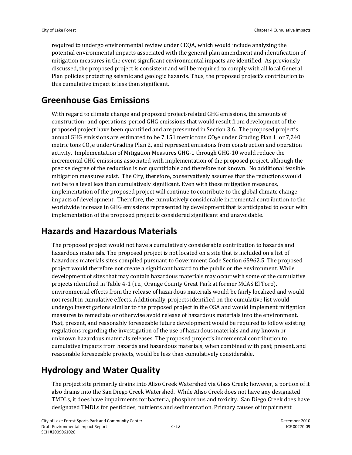required to undergo environmental review under CEQA, which would include analyzing the potential environmental impacts associated with the general plan amendment and identification of mitigation measures in the event significant environmental impacts are identified. As previously discussed, the proposed project is consistent and will be required to comply with all local General Plan policies protecting seismic and geologic hazards. Thus, the proposed project's contribution to this cumulative impact is less than significant.

## **Greenhouse Gas Emissions**

With regard to climate change and proposed project-related GHG emissions, the amounts of construction‐ and operations‐period GHG emissions that would result from development of the proposed project have been quantified and are presented in Section 3.6. The proposed project's annual GHG emissions are estimated to be 7,151 metric tons CO<sub>2</sub>e under Grading Plan 1, or 7,240 metric tons CO<sub>2</sub>e under Grading Plan 2, and represent emissions from construction and operation activity. Implementation of Mitigation Measures GHG‐1 through GHG‐10 would reduce the incremental GHG emissions associated with implementation of the proposed project, although the precise degree of the reduction is not quantifiable and therefore not known. No additional feasible mitigation measures exist. The City, therefore, conservatively assumes that the reductions would not be to a level less than cumulatively significant. Even with these mitigation measures, implementation of the proposed project will continue to contribute to the global climate change impacts of development. Therefore, the cumulatively considerable incremental contribution to the worldwide increase in GHG emissions represented by development that is anticipated to occur with implementation of the proposed project is considered significant and unavoidable.

## **Hazards and Hazardous Materials**

The proposed project would not have a cumulatively considerable contribution to hazards and hazardous materials. The proposed project is not located on a site that is included on a list of hazardous materials sites compiled pursuant to Government Code Section 65962.5. The proposed project would therefore not create a significant hazard to the public or the environment. While development of sites that may contain hazardous materials may occur with some of the cumulative projects identified in Table 4‐1 (i.e., Orange County Great Park at former MCAS El Toro), environmental effects from the release of hazardous materials would be fairly localized and would not result in cumulative effects. Additionally, projects identified on the cumulative list would undergo investigations similar to the proposed project in the OSA and would implement mitigation measures to remediate or otherwise avoid release of hazardous materials into the environment. Past, present, and reasonably foreseeable future development would be required to follow existing regulations regarding the investigation of the use of hazardous materials and any known or unknown hazardous materials releases. The proposed project's incremental contribution to cumulative impacts from hazards and hazardous materials, when combined with past, present, and reasonable foreseeable projects, would be less than cumulatively considerable.

# **Hydrology and Water Quality**

The project site primarily drains into Aliso Creek Watershed via Glass Creek; however, a portion of it also drains into the San Diego Creek Watershed. While Aliso Creek does not have any designated TMDLs, it does have impairments for bacteria, phosphorous and toxicity. San Diego Creek does have designated TMDLs for pesticides, nutrients and sedimentation. Primary causes of impairment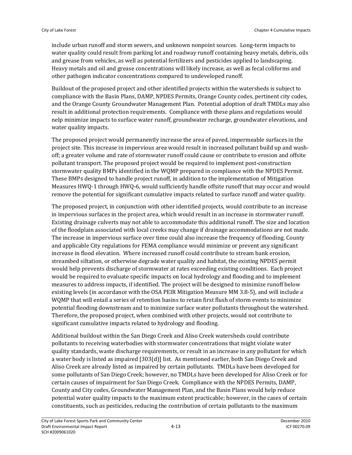include urban runoff and storm sewers, and unknown nonpoint sources. Long‐term impacts to water quality could result from parking lot and roadway runoff containing heavy metals, debris, oils and grease from vehicles, as well as potential fertilizers and pesticides applied to landscaping. Heavy metals and oil and grease concentrations will likely increase, as well as fecal coliforms and other pathogen indicator concentrations compared to undeveloped runoff.

Buildout of the proposed project and other identified projects within the watersheds is subject to compliance with the Basin Plans, DAMP, NPDES Permits, Orange County codes, pertinent city codes, and the Orange County Groundwater Management Plan. Potential adoption of draft TMDLs may also result in additional protection requirements. Compliance with these plans and regulations would nelp minimize impacts to surface water runoff, groundwater recharge, groundwater elevations, and water quality impacts.

The proposed project would permanently increase the area of paved, impermeable surfaces in the project site. This increase in impervious area would result in increased pollutant build up and washoff; a greater volume and rate of stormwater runoff could cause or contribute to erosion and offsite pollutant transport. The proposed project would be required to implement post‐construction stormwater quality BMPs identified in the WQMP prepared in compliance with the NPDES Permit. These BMPs designed to handle project runoff, in addition to the implementation of Mitigation Measures HWQ-1 through HWQ-6, would sufficiently handle offsite runoff that may occur and would remove the potential for significant cumulative impacts related to surface runoff and water quality.

The proposed project, in conjunction with other identified projects, would contribute to an increase in impervious surfaces in the project area, which would result in an increase in stormwater runoff. Existing drainage culverts may not able to accommodate this additional runoff. The size and location of the floodplain associated with local creeks may change if drainage accommodations are not made. The increase in impervious surface over time could also increase the frequency of flooding. County and applicable City regulations for FEMA compliance would minimize or prevent any significant increase in flood elevation. Where increased runoff could contribute to stream bank erosion, streambed siltation, or otherwise degrade water quality and habitat, the existing NPDES permit would help prevents discharge of stormwater at rates exceeding existing conditions. Each project would be required to evaluate specific impacts on local hydrology and flooding and to implement measures to address impacts, if identified. The project will be designed to minimize runoff below existing levels (in accordance with the OSA PEIR Mitigation Measure MM 3.8‐5), and will include a WQMP that will entail a series of retention basins to retain first flush of storm events to minimize potential flooding downstream and to minimize surface water pollutants throughout the watershed. Therefore, the proposed project, when combined with other projects, would not contribute to significant cumulative impacts related to hydrology and flooding.

Additional buildout within the San Diego Creek and Aliso Creek watersheds could contribute pollutants to receiving waterbodies with stormwater concentrations that might violate water quality standards, waste discharge requirements, or result in an increase in any pollutant for which a water body is listed as impaired [303(d)] list. As mentioned earlier, both San Diego Creek and Aliso Creek are already listed as impaired by certain pollutants. TMDLs have been developed for some pollutants of San Diego Creek; however, no TMDLs have been developed for Aliso Creek or for certain causes of impairment for San Diego Creek. Compliance with the NPDES Permits, DAMP, County and City codes, Groundwater Management Plan, and the Basin Plans would help reduce potential water quality impacts to the maximum extent practicable; however, in the cases of certain constituents, such as pesticides, reducing the contribution of certain pollutants to the maximum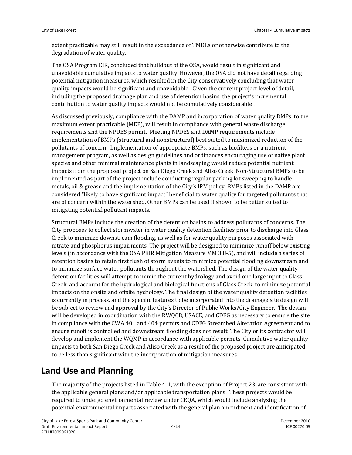extent practicable may still result in the exceedance of TMDLs or otherwise contribute to the degradation of water quality.

The OSA Program EIR, concluded that buildout of the OSA, would result in significant and unavoidable cumulative impacts to water quality. However, the OSA did not have detail regarding potential mitigation measures, which resulted in the City conservatively concluding that water quality impacts would be significant and unavoidable. Given the current project level of detail, including the proposed drainage plan and use of detention basins, the project's incremental contribution to water quality impacts would not be cumulatively considerable .

As discussed previously, compliance with the DAMP and incorporation of water quality BMPs, to the maximum extent practicable (MEP), will result in compliance with general waste discharge requirements and the NPDES permit. Meeting NPDES and DAMP requirements include implementation of BMPs (structural and nonstructural) best suited to maximized reduction of the pollutants of concern. Implementation of appropriate BMPs, such as biofilters or a nutrient management program, as well as design guidelines and ordinances encouraging use of native plant species and other minimal maintenance plants in landscaping would reduce potential nutrient impacts from the proposed project on San Diego Creek and Aliso Creek. Non‐Structural BMPs to be implemented as part of the project include conducting regular parking lot sweeping to handle metals, oil & grease and the implementation of the City's IPM policy. BMPs listed in the DAMP are considered "likely to have significant impact" beneficial to water quality for targeted pollutants that are of concern within the watershed. Other BMPs can be used if shown to be better suited to mitigating potential pollutant impacts.

Structural BMPs include the creation of the detention basins to address pollutants of concerns. The City proposes to collect stormwater in water quality detention facilities prior to discharge into Glass Creek to minimize downstream flooding, as well as for water quality purposes associated with nitrate and phosphorus impairments. The project will be designed to minimize runoff below existing levels (in accordance with the OSA PEIR Mitigation Measure MM 3.8‐5), and will include a series of retention basins to retain first flush of storm events to minimize potential flooding downstream and to minimize surface water pollutants throughout the watershed. The design of the water quality detention facilities will attempt to mimic the current hydrology and avoid one large input to Glass Creek, and account for the hydrological and biological functions of Glass Creek, to minimize potential impacts on the onsite and offsite hydrology. The final design of the water quality detention facilities is currently in process, and the specific features to be incorporated into the drainage site design will be subject to review and approval by the City's Director of Public Works/City Engineer. The design will be developed in coordination with the RWQCB, USACE, and CDFG as necessary to ensure the site in compliance with the CWA 401 and 404 permits and CDFG Streambed Alteration Agreement and to ensure runoff is controlled and downstream flooding does not result. The City or its contractor will develop and implement the WQMP in accordance with applicable permits. Cumulative water quality impacts to both San Diego Creek and Aliso Creek as a result of the proposed project are anticipated to be less than significant with the incorporation of mitigation measures.

## **Land Use and Planning**

The majority of the projects listed in Table 4‐1, with the exception of Project 23, are consistent with the applicable general plans and/or applicable transportation plans. These projects would be required to undergo environmental review under CEQA, which would include analyzing the potential environmental impacts associated with the general plan amendment and identification of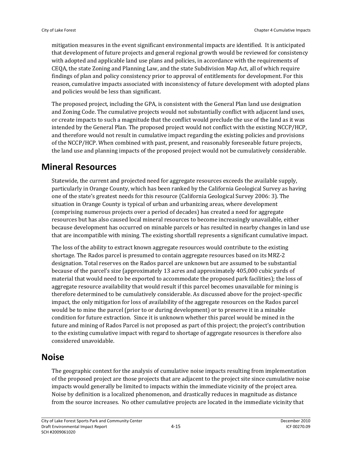mitigation measures in the event significant environmental impacts are identified. It is anticipated that development of future projects and general regional growth would be reviewed for consistency with adopted and applicable land use plans and policies, in accordance with the requirements of CEQA, the state Zoning and Planning Law, and the state Subdivision Map Act, all of which require findings of plan and policy consistency prior to approval of entitlements for development. For this reason, cumulative impacts associated with inconsistency of future development with adopted plans and policies would be less than significant.

The proposed project, including the GPA, is consistent with the General Plan land use designation and Zoning Code. The cumulative projects would not substantially conflict with adjacent land uses, or create impacts to such a magnitude that the conflict would preclude the use of the land as it was intended by the General Plan. The proposed project would not conflict with the existing NCCP/HCP, and therefore would not result in cumulative impact regarding the existing policies and provisions of the NCCP/HCP. When combined with past, present, and reasonably foreseeable future projects, the land use and planning impacts of the proposed project would not be cumulatively considerable.

### **Mineral Resources**

Statewide, the current and projected need for aggregate resources exceeds the available supply, particularly in Orange County, which has been ranked by the California Geological Survey as having one of the state's greatest needs for this resource (California Geological Survey 2006: 3). The situation in Orange County is typical of urban and urbanizing areas, where development (comprising numerous projects over a period of decades) has created a need for aggregate resources but has also caused local mineral resources to become increasingly unavailable, either because development has occurred on minable parcels or has resulted in nearby changes in land use that are incompatible with mining. The existing shortfall represents a significant cumulative impact.

The loss of the ability to extract known aggregate resources would contribute to the existing shortage. The Rados parcel is presumed to contain aggregate resources based on its MRZ‐2 designation. Total reserves on the Rados parcel are unknown but are assumed to be substantial because of the parcel's size (approximately 13 acres and approximately 405,000 cubic yards of material that would need to be exported to accommodate the proposed park facilities); the loss of aggregate resource availability that would result if this parcel becomes unavailable for mining is therefore determined to be cumulatively considerable. As discussed above for the project‐specific impact, the only mitigation for loss of availability of the aggregate resources on the Rados parcel would be to mine the parcel (prior to or during development) or to preserve it in a minable condition for future extraction. Since it is unknown whether this parcel would be mined in the future and mining of Rados Parcel is not proposed as part of this project; the project's contribution to the existing cumulative impact with regard to shortage of aggregate resources is therefore also considered unavoidable.

#### **Noise**

The geographic context for the analysis of cumulative noise impacts resulting from implementation of the proposed project are those projects that are adjacent to the project site since cumulative noise impacts would generally be limited to impacts within the immediate vicinity of the project area. Noise by definition is a localized phenomenon, and drastically reduces in magnitude as distance from the source increases. No other cumulative projects are located in the immediate vicinity that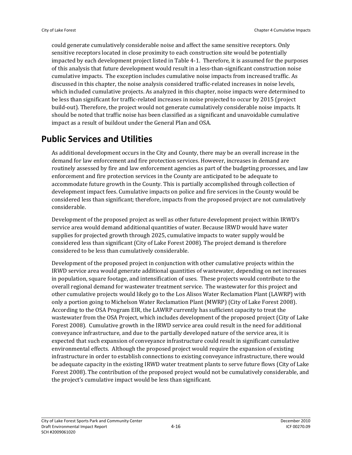could generate cumulatively considerable noise and affect the same sensitive receptors. Only sensitive receptors located in close proximity to each construction site would be potentially impacted by each development project listed in Table 4‐1. Therefore, it is assumed for the purposes of this analysis that future development would result in a less‐than‐significant construction noise cumulative impacts. The exception includes cumulative noise impacts from increased traffic. As discussed in this chapter, the noise analysis considered traffic‐related increases in noise levels, which included cumulative projects. As analyzed in this chapter, noise impacts were determined to be less than significant for traffic-related increases in noise projected to occur by 2015 (project build-out). Therefore, the project would not generate cumulatively considerable noise impacts. It should be noted that traffic noise has been classified as a significant and unavoidable cumulative impact as a result of buildout under the General Plan and OSA.

## **Public Services and Utilities**

As additional development occurs in the City and County, there may be an overall increase in the demand for law enforcement and fire protection services. However, increases in demand are routinely assessed by fire and law enforcement agencies as part of the budgeting processes, and law enforcement and fire protection services in the County are anticipated to be adequate to accommodate future growth in the County. This is partially accomplished through collection of development impact fees. Cumulative impacts on police and fire services in the County would be considered less than significant; therefore, impacts from the proposed project are not cumulatively considerable.

Development of the proposed project as well as other future development project within IRWD's service area would demand additional quantities of water. Because IRWD would have water supplies for projected growth through 2025, cumulative impacts to water supply would be considered less than significant (City of Lake Forest 2008). The project demand is therefore considered to be less than cumulatively considerable.

Development of the proposed project in conjunction with other cumulative projects within the IRWD service area would generate additional quantities of wastewater, depending on net increases in population, square footage, and intensification of uses. These projects would contribute to the overall regional demand for wastewater treatment service. The wastewater for this project and other cumulative projects would likely go to the Los Alisos Water Reclamation Plant (LAWRP) with only a portion going to Michelson Water Reclamation Plant (MWRP) (City of Lake Forest 2008). According to the OSA Program EIR, the LAWRP currently has sufficient capacity to treat the wastewater from the OSA Project, which includes development of the proposed project (City of Lake Forest 2008). Cumulative growth in the IRWD service area could result in the need for additional conveyance infrastructure, and due to the partially developed nature of the service area, it is expected that such expansion of conveyance infrastructure could result in significant cumulative environmental effects. Although the proposed project would require the expansion of existing infrastructure in order to establish connections to existing conveyance infrastructure, there would be adequate capacity in the existing IRWD water treatment plants to serve future flows (City of Lake Forest 2008). The contribution of the proposed project would not be cumulatively considerable, and the project's cumulative impact would be less than significant.